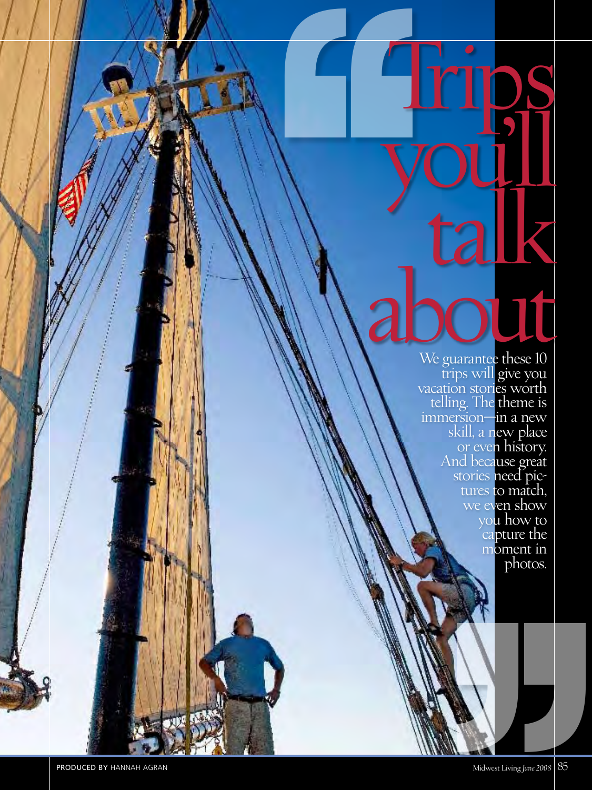**''** you'll k about the summer these 10

We guarantee these  $10$  trips will give you vacation stories worth telling. The theme is immersion—in a new skill, a new place or eve**n history.**<br>And beca**use great** stories need pictures to match, we even show you how to capture the moment in photos. We even show<br>you how to<br>capture the<br>moment in<br>photos.

**Trips**